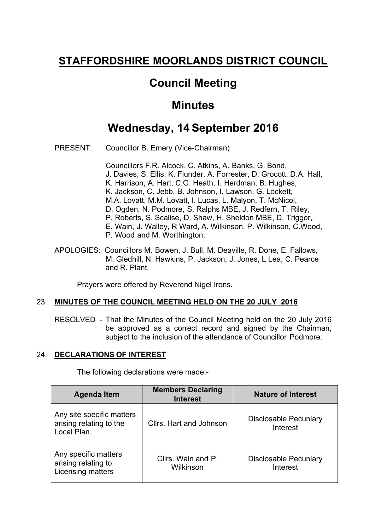# **STAFFORDSHIRE MOORLANDS DISTRICT COUNCIL**

## **Council Meeting**

## **Minutes**

## **Wednesday, 14 September 2016**

PRESENT: Councillor B. Emery (Vice-Chairman)

Councillors F.R. Alcock, C. Atkins, A. Banks, G. Bond, J. Davies, S. Ellis, K. Flunder, A. Forrester, D. Grocott, D.A. Hall, K. Harrison, A. Hart, C.G. Heath, I. Herdman, B. Hughes, K. Jackson, C. Jebb, B. Johnson, I. Lawson, G. Lockett, M.A. Lovatt, M.M. Lovatt, I. Lucas, L. Malyon, T. McNicol, D. Ogden, N. Podmore, S. Ralphs MBE, J. Redfern, T. Riley, P. Roberts, S. Scalise, D. Shaw, H. Sheldon MBE, D. Trigger, E. Wain, J. Walley, R Ward, A. Wilkinson, P. Wilkinson, C.Wood, P. Wood and M. Worthington.

APOLOGIES: Councillors M. Bowen, J. Bull, M. Deaville, R. Done, E. Fallows, M. Gledhill, N. Hawkins, P. Jackson, J. Jones, L Lea, C. Pearce and R. Plant.

Prayers were offered by Reverend Nigel Irons.

## 23. **MINUTES OF THE COUNCIL MEETING HELD ON THE 20 JULY 2016**

RESOLVED - That the Minutes of the Council Meeting held on the 20 July 2016 be approved as a correct record and signed by the Chairman, subject to the inclusion of the attendance of Councillor Podmore.

## 24. **DECLARATIONS OF INTEREST**

The following declarations were made:-

| <b>Agenda Item</b>                                                  | <b>Members Declaring</b><br><b>Interest</b> | <b>Nature of Interest</b>                |
|---------------------------------------------------------------------|---------------------------------------------|------------------------------------------|
| Any site specific matters<br>arising relating to the<br>Local Plan. | Cllrs. Hart and Johnson                     | <b>Disclosable Pecuniary</b><br>Interest |
| Any specific matters<br>arising relating to<br>Licensing matters    | Cllrs. Wain and P.<br>Wilkinson             | <b>Disclosable Pecuniary</b><br>Interest |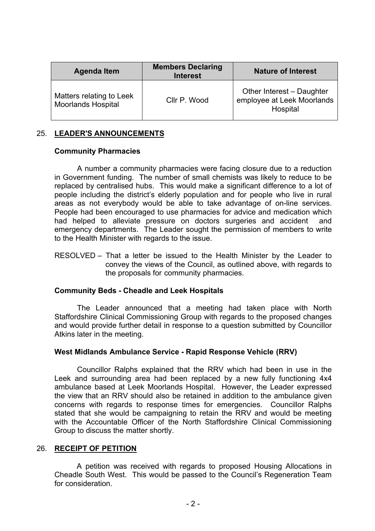| <b>Agenda Item</b>                                    | <b>Members Declaring</b><br><b>Interest</b> | <b>Nature of Interest</b>                                           |
|-------------------------------------------------------|---------------------------------------------|---------------------------------------------------------------------|
| Matters relating to Leek<br><b>Moorlands Hospital</b> | Cllr P. Wood                                | Other Interest - Daughter<br>employee at Leek Moorlands<br>Hospital |

## 25. **LEADER'S ANNOUNCEMENTS**

### **Community Pharmacies**

A number a community pharmacies were facing closure due to a reduction in Government funding. The number of small chemists was likely to reduce to be replaced by centralised hubs. This would make a significant difference to a lot of people including the district's elderly population and for people who live in rural areas as not everybody would be able to take advantage of on-line services. People had been encouraged to use pharmacies for advice and medication which had helped to alleviate pressure on doctors surgeries and accident and emergency departments. The Leader sought the permission of members to write to the Health Minister with regards to the issue.

RESOLVED – That a letter be issued to the Health Minister by the Leader to convey the views of the Council, as outlined above, with regards to the proposals for community pharmacies.

### **Community Beds - Cheadle and Leek Hospitals**

The Leader announced that a meeting had taken place with North Staffordshire Clinical Commissioning Group with regards to the proposed changes and would provide further detail in response to a question submitted by Councillor Atkins later in the meeting.

### **West Midlands Ambulance Service - Rapid Response Vehicle (RRV)**

Councillor Ralphs explained that the RRV which had been in use in the Leek and surrounding area had been replaced by a new fully functioning 4x4 ambulance based at Leek Moorlands Hospital. However, the Leader expressed the view that an RRV should also be retained in addition to the ambulance given concerns with regards to response times for emergencies. Councillor Ralphs stated that she would be campaigning to retain the RRV and would be meeting with the Accountable Officer of the North Staffordshire Clinical Commissioning Group to discuss the matter shortly.

### 26. **RECEIPT OF PETITION**

A petition was received with regards to proposed Housing Allocations in Cheadle South West. This would be passed to the Council's Regeneration Team for consideration.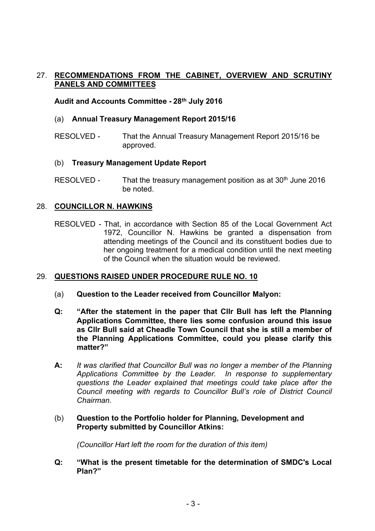## 27. **RECOMMENDATIONS FROM THE CABINET, OVERVIEW AND SCRUTINY PANELS AND COMMITTEES**

## **Audit and Accounts Committee - 28th July 2016**

## (a) **Annual Treasury Management Report 2015/16**

RESOLVED - That the Annual Treasury Management Report 2015/16 be approved.

### (b) **Treasury Management Update Report**

RESOLVED - That the treasury management position as at  $30<sup>th</sup>$  June 2016 be noted.

## 28. **COUNCILLOR N. HAWKINS**

RESOLVED - That, in accordance with Section 85 of the Local Government Act 1972, Councillor N. Hawkins be granted a dispensation from attending meetings of the Council and its constituent bodies due to her ongoing treatment for a medical condition until the next meeting of the Council when the situation would be reviewed.

### 29. **QUESTIONS RAISED UNDER PROCEDURE RULE NO. 10**

- (a) **Question to the Leader received from Councillor Malyon:**
- **Q: "After the statement in the paper that Cllr Bull has left the Planning Applications Committee, there lies some confusion around this issue as Cllr Bull said at Cheadle Town Council that she is still a member of the Planning Applications Committee, could you please clarify this matter?"**
- **A:** *It was clarified that Councillor Bull was no longer a member of the Planning Applications Committee by the Leader. In response to supplementary questions the Leader explained that meetings could take place after the Council meeting with regards to Councillor Bull's role of District Council Chairman.*

## (b) **Question to the Portfolio holder for Planning, Development and Property submitted by Councillor Atkins:**

*(Councillor Hart left the room for the duration of this item)*

**Q: "What is the present timetable for the determination of SMDC's Local Plan?"**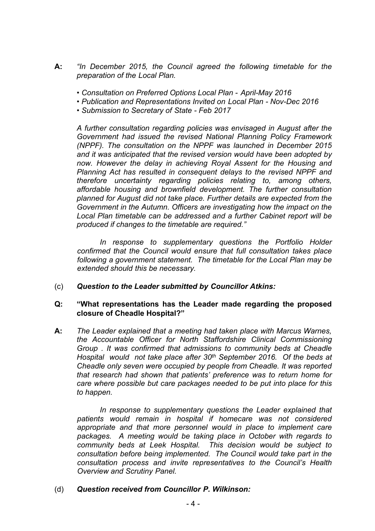- **A:** *"In December 2015, the Council agreed the following timetable for the preparation of the Local Plan.*
	- *• Consultation on Preferred Options Local Plan - April-May 2016*
	- *• Publication and Representations Invited on Local Plan - Nov-Dec 2016*
	- *• Submission to Secretary of State - Feb 2017*

*A further consultation regarding policies was envisaged in August after the Government had issued the revised National Planning Policy Framework (NPPF). The consultation on the NPPF was launched in December 2015 and it was anticipated that the revised version would have been adopted by now. However the delay in achieving Royal Assent for the Housing and Planning Act has resulted in consequent delays to the revised NPPF and therefore uncertainty regarding policies relating to, among others, affordable housing and brownfield development. The further consultation planned for August did not take place. Further details are expected from the Government in the Autumn. Officers are investigating how the impact on the Local Plan timetable can be addressed and a further Cabinet report will be produced if changes to the timetable are required."*

*In response to supplementary questions the Portfolio Holder confirmed that the Council would ensure that full consultation takes place following a government statement. The timetable for the Local Plan may be extended should this be necessary.*

(c) *Question to the Leader submitted by Councillor Atkins:*

### **Q: "What representations has the Leader made regarding the proposed closure of Cheadle Hospital?"**

**A:** *The Leader explained that a meeting had taken place with Marcus Warnes, the Accountable Officer for North Staffordshire Clinical Commissioning Group . It was confirmed that admissions to community beds at Cheadle Hospital would not take place after 30th September 2016. Of the beds at Cheadle only seven were occupied by people from Cheadle. It was reported that research had shown that patients' preference was to return home for care where possible but care packages needed to be put into place for this to happen.*

*In response to supplementary questions the Leader explained that patients would remain in hospital if homecare was not considered appropriate and that more personnel would in place to implement care packages. A meeting would be taking place in October with regards to community beds at Leek Hospital. This decision would be subject to consultation before being implemented. The Council would take part in the consultation process and invite representatives to the Council's Health Overview and Scrutiny Panel.*

(d) *Question received from Councillor P. Wilkinson:*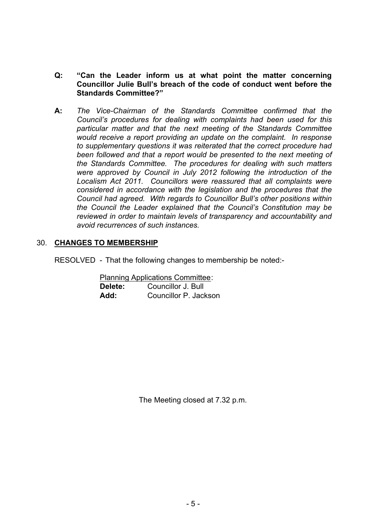## **Q: "Can the Leader inform us at what point the matter concerning Councillor Julie Bull's breach of the code of conduct went before the Standards Committee?"**

**A:** *The Vice-Chairman of the Standards Committee confirmed that the Council's procedures for dealing with complaints had been used for this particular matter and that the next meeting of the Standards Committee would receive a report providing an update on the complaint. In response to supplementary questions it was reiterated that the correct procedure had been followed and that a report would be presented to the next meeting of the Standards Committee. The procedures for dealing with such matters were approved by Council in July 2012 following the introduction of the Localism Act 2011. Councillors were reassured that all complaints were considered in accordance with the legislation and the procedures that the Council had agreed. With regards to Councillor Bull's other positions within the Council the Leader explained that the Council's Constitution may be reviewed in order to maintain levels of transparency and accountability and avoid recurrences of such instances.*

## 30. **CHANGES TO MEMBERSHIP**

RESOLVED - That the following changes to membership be noted:-

Planning Applications Committee: **Delete:** Councillor J. Bull **Add:** Councillor P. Jackson

The Meeting closed at 7.32 p.m.